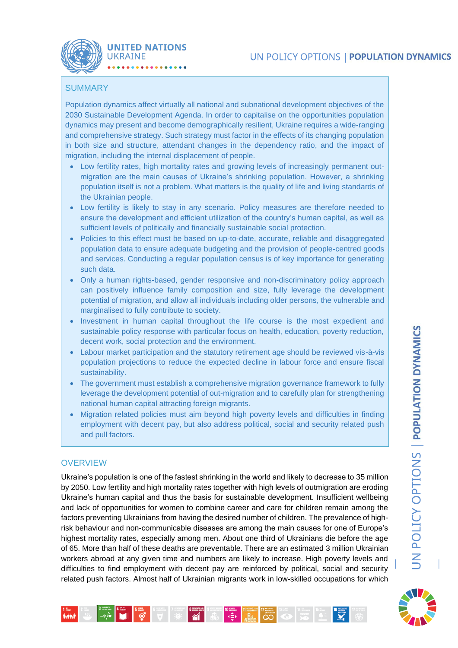

## **SUMMARY**

Population dynamics affect virtually all national and subnational development objectives of the 2030 Sustainable Development Agenda. In order to capitalise on the opportunities population dynamics may present and become demographically resilient, Ukraine requires a wide-ranging and comprehensive strategy. Such strategy must factor in the effects of its changing population in both size and structure, attendant changes in the dependency ratio, and the impact of migration, including the internal displacement of people.

- Low fertility rates, high mortality rates and growing levels of increasingly permanent outmigration are the main causes of Ukraine's shrinking population. However, a shrinking population itself is not a problem. What matters is the quality of life and living standards of the Ukrainian people.
- Low fertility is likely to stay in any scenario. Policy measures are therefore needed to ensure the development and efficient utilization of the country's human capital, as well as sufficient levels of politically and financially sustainable social protection.
- Policies to this effect must be based on up-to-date, accurate, reliable and disaggregated population data to ensure adequate budgeting and the provision of people-centred goods and services. Conducting a regular population census is of key importance for generating such data.
- Only a human rights-based, gender responsive and non-discriminatory policy approach can positively influence family composition and size, fully leverage the development potential of migration, and allow all individuals including older persons, the vulnerable and marginalised to fully contribute to society.
- Investment in human capital throughout the life course is the most expedient and sustainable policy response with particular focus on health, education, poverty reduction, decent work, social protection and the environment.
- Labour market participation and the statutory retirement age should be reviewed vis-à-vis population projections to reduce the expected decline in labour force and ensure fiscal sustainability.
- The government must establish a comprehensive migration governance framework to fully leverage the development potential of out-migration and to carefully plan for strengthening national human capital attracting foreign migrants.
- Migration related policies must aim beyond high poverty levels and difficulties in finding employment with decent pay, but also address political, social and security related push and pull factors.

#### **OVERVIEW**

**Bread** 

Ukraine's population is one of the fastest shrinking in the world and likely to decrease to 35 million by 2050. Low fertility and high mortality rates together with high levels of outmigration are eroding Ukraine's human capital and thus the basis for sustainable development. Insufficient wellbeing and lack of opportunities for women to combine career and care for children remain among the factors preventing Ukrainians from having the desired number of children. The prevalence of highrisk behaviour and non-communicable diseases are among the main causes for one of Europe's highest mortality rates, especially among men. About one third of Ukrainians die before the age of 65. More than half of these deaths are preventable. There are an estimated 3 million Ukrainian workers abroad at any given time and numbers are likely to increase. High poverty levels and difficulties to find employment with decent pay are reinforced by political, social and security related push factors. Almost half of Ukrainian migrants work in low-skilled occupations for which

**THE REAL CO** 

 $|\mathcal{A}|$ 

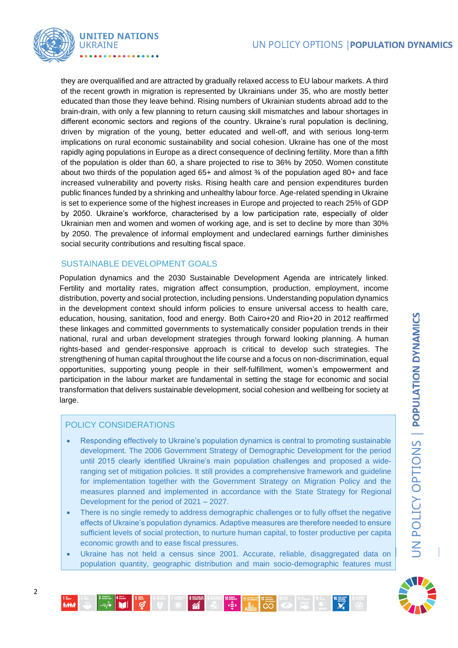

they are overqualified and are attracted by gradually relaxed access to EU labour markets. A third of the recent growth in migration is represented by Ukrainians under 35, who are mostly better educated than those they leave behind. Rising numbers of Ukrainian students abroad add to the brain-drain, with only a few planning to return causing skill mismatches and labour shortages in different economic sectors and regions of the country. Ukraine's rural population is declining, driven by migration of the young, better educated and well-off, and with serious long-term implications on rural economic sustainability and social cohesion. Ukraine has one of the most rapidly aging populations in Europe as a direct consequence of declining fertility. More than a fifth of the population is older than 60, a share projected to rise to 36% by 2050. Women constitute about two thirds of the population aged  $65+$  and almost  $\frac{3}{4}$  of the population aged  $80+$  and face increased vulnerability and poverty risks. Rising health care and pension expenditures burden public finances funded by a shrinking and unhealthy labour force. Age-related spending in Ukraine is set to experience some of the highest increases in Europe and projected to reach 25% of GDP by 2050. Ukraine's workforce, characterised by a low participation rate, especially of older Ukrainian men and women and women of working age, and is set to decline by more than 30% by 2050. The prevalence of informal employment and undeclared earnings further diminishes social security contributions and resulting fiscal space.

### SUSTAINABLE DEVELOPMENT GOALS

Population dynamics and the 2030 Sustainable Development Agenda are intricately linked. Fertility and mortality rates, migration affect consumption, production, employment, income distribution, poverty and social protection, including pensions. Understanding population dynamics in the development context should inform policies to ensure universal access to health care, education, housing, sanitation, food and energy. Both Cairo+20 and Rio+20 in 2012 reaffirmed these linkages and committed governments to systematically consider population trends in their national, rural and urban development strategies through forward looking planning. A human rights-based and gender-responsive approach is critical to develop such strategies. The strengthening of human capital throughout the life course and a focus on non-discrimination, equal opportunities, supporting young people in their self-fulfillment, women's empowerment and participation in the labour market are fundamental in setting the stage for economic and social transformation that delivers sustainable development, social cohesion and wellbeing for society at large.

### POLICY CONSIDERATIONS

- Responding effectively to Ukraine's population dynamics is central to promoting sustainable development. The 2006 Government Strategy of Demographic Development for the period until 2015 clearly identified Ukraine's main population challenges and proposed a wideranging set of mitigation policies. It still provides a comprehensive framework and guideline for implementation together with the Government Strategy on Migration Policy and the measures planned and implemented in accordance with the State Strategy for Regional Development for the period of 2021 – 2027.
- There is no single remedy to address demographic challenges or to fully offset the negative effects of Ukraine's population dynamics. Adaptive measures are therefore needed to ensure sufficient levels of social protection, to nurture human capital, to foster productive per capita economic growth and to ease fiscal pressures.
- Ukraine has not held a census since 2001. Accurate, reliable, disaggregated data on population quantity, geographic distribution and main socio-demographic features must

**THE FILE OF THE COLLEGE OF THE COLLEGE OF THE COLLEGE OF THE COLLEGE OF THE COLLEGE OF THE COLLEGE OF THE COLL** 

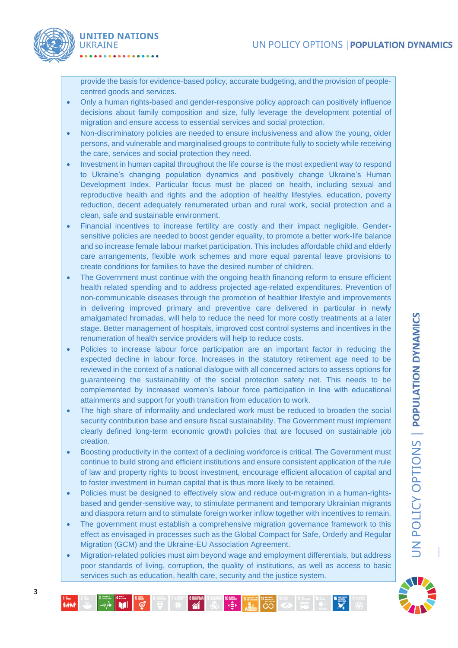

provide the basis for evidence-based policy, accurate budgeting, and the provision of peoplecentred goods and services.

- Only a human rights-based and gender-responsive policy approach can positively influence decisions about family composition and size, fully leverage the development potential of migration and ensure access to essential services and social protection.
- Non-discriminatory policies are needed to ensure inclusiveness and allow the young, older persons, and vulnerable and marginalised groups to contribute fully to society while receiving the care, services and social protection they need.
- Investment in human capital throughout the life course is the most expedient way to respond to Ukraine's changing population dynamics and positively change Ukraine's Human Development Index. Particular focus must be placed on health, including sexual and reproductive health and rights and the adoption of healthy lifestyles, education, poverty reduction, decent adequately renumerated urban and rural work, social protection and a clean, safe and sustainable environment.
- Financial incentives to increase fertility are costly and their impact negligible. Gendersensitive policies are needed to boost gender equality, to promote a better work-life balance and so increase female labour market participation. This includes affordable child and elderly care arrangements, flexible work schemes and more equal parental leave provisions to create conditions for families to have the desired number of children.
- The Government must continue with the ongoing health financing reform to ensure efficient health related spending and to address projected age-related expenditures. Prevention of non-communicable diseases through the promotion of healthier lifestyle and improvements in delivering improved primary and preventive care delivered in particular in newly amalgamated hromadas, will help to reduce the need for more costly treatments at a later stage. Better management of hospitals, improved cost control systems and incentives in the renumeration of health service providers will help to reduce costs.
- Policies to increase labour force participation are an important factor in reducing the expected decline in labour force. Increases in the statutory retirement age need to be reviewed in the context of a national dialogue with all concerned actors to assess options for guaranteeing the sustainability of the social protection safety net. This needs to be complemented by increased women's labour force participation in line with educational attainments and support for youth transition from education to work.
- The high share of informality and undeclared work must be reduced to broaden the social security contribution base and ensure fiscal sustainability. The Government must implement clearly defined long-term economic growth policies that are focused on sustainable job creation.
- Boosting productivity in the context of a declining workforce is critical. The Government must continue to build strong and efficient institutions and ensure consistent application of the rule of law and property rights to boost investment, encourage efficient allocation of capital and to foster investment in human capital that is thus more likely to be retained.
- Policies must be designed to effectively slow and reduce out-migration in a human-rightsbased and gender-sensitive way, to stimulate permanent and temporary Ukrainian migrants and diaspora return and to stimulate foreign worker inflow together with incentives to remain.
- The government must establish a comprehensive migration governance framework to this effect as envisaged in processes such as the Global Compact for Safe, Orderly and Regular Migration (GCM) and the Ukraine-EU Association Agreement.
- Migration-related policies must aim beyond wage and employment differentials, but address poor standards of living, corruption, the quality of institutions, as well as access to basic services such as education, health care, security and the justice system.